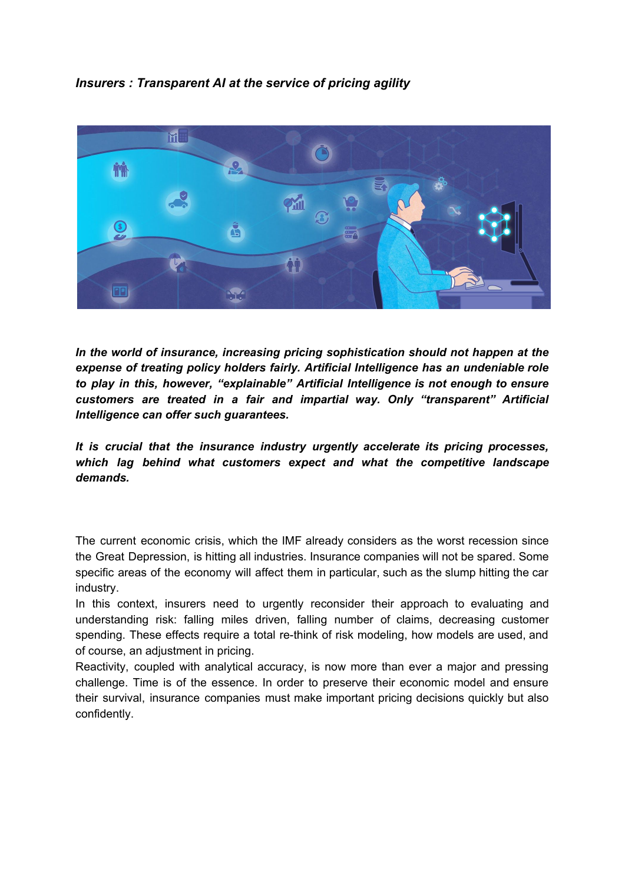*Insurers : Transparent AI at the service of pricing agility*



*In the world of insurance, increasing pricing sophistication should not happen at the expense of treating policy holders fairly. Artificial Intelligence has an undeniable role to play in this, however, "explainable" Artificial Intelligence is not enough to ensure customers are treated in a fair and impartial way. Only "transparent" Artificial Intelligence can offer such guarantees.*

*It is crucial that the insurance industry urgently accelerate its pricing processes, which lag behind what customers expect and what the competitive landscape demands.*

The current economic crisis, which the IMF already considers as the worst recession since the Great Depression, is hitting all industries. Insurance companies will not be spared. Some specific areas of the economy will affect them in particular, such as the slump hitting the car industry.

In this context, insurers need to urgently reconsider their approach to evaluating and understanding risk: falling miles driven, falling number of claims, decreasing customer spending. These effects require a total re-think of risk modeling, how models are used, and of course, an adjustment in pricing.

Reactivity, coupled with analytical accuracy, is now more than ever a major and pressing challenge. Time is of the essence. In order to preserve their economic model and ensure their survival, insurance companies must make important pricing decisions quickly but also confidently.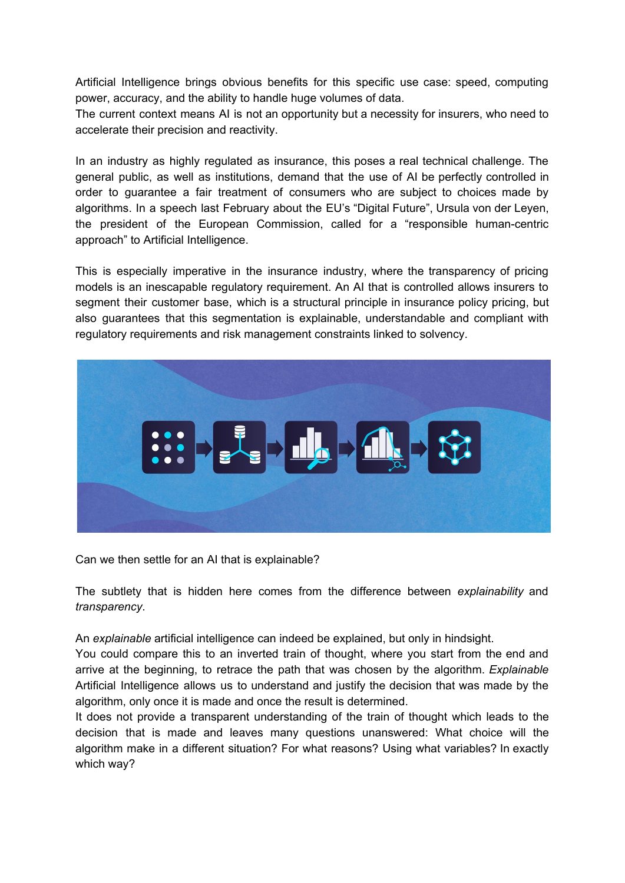Artificial Intelligence brings obvious benefits for this specific use case: speed, computing power, accuracy, and the ability to handle huge volumes of data.

The current context means AI is not an opportunity but a necessity for insurers, who need to accelerate their precision and reactivity.

In an industry as highly regulated as insurance, this poses a real technical challenge. The general public, as well as institutions, demand that the use of AI be perfectly controlled in order to guarantee a fair treatment of consumers who are subject to choices made by algorithms. In a speech last February about the EU's "Digital Future", Ursula von der Leyen, the president of the European Commission, called for a "responsible human-centric approach" to Artificial Intelligence.

This is especially imperative in the insurance industry, where the transparency of pricing models is an inescapable regulatory requirement. An AI that is controlled allows insurers to segment their customer base, which is a structural principle in insurance policy pricing, but also guarantees that this segmentation is explainable, understandable and compliant with regulatory requirements and risk management constraints linked to solvency.



Can we then settle for an AI that is explainable?

The subtlety that is hidden here comes from the difference between *explainability* and *transparency*.

An *explainable* artificial intelligence can indeed be explained, but only in hindsight.

You could compare this to an inverted train of thought, where you start from the end and arrive at the beginning, to retrace the path that was chosen by the algorithm. *Explainable* Artificial Intelligence allows us to understand and justify the decision that was made by the algorithm, only once it is made and once the result is determined.

It does not provide a transparent understanding of the train of thought which leads to the decision that is made and leaves many questions unanswered: What choice will the algorithm make in a different situation? For what reasons? Using what variables? In exactly which way?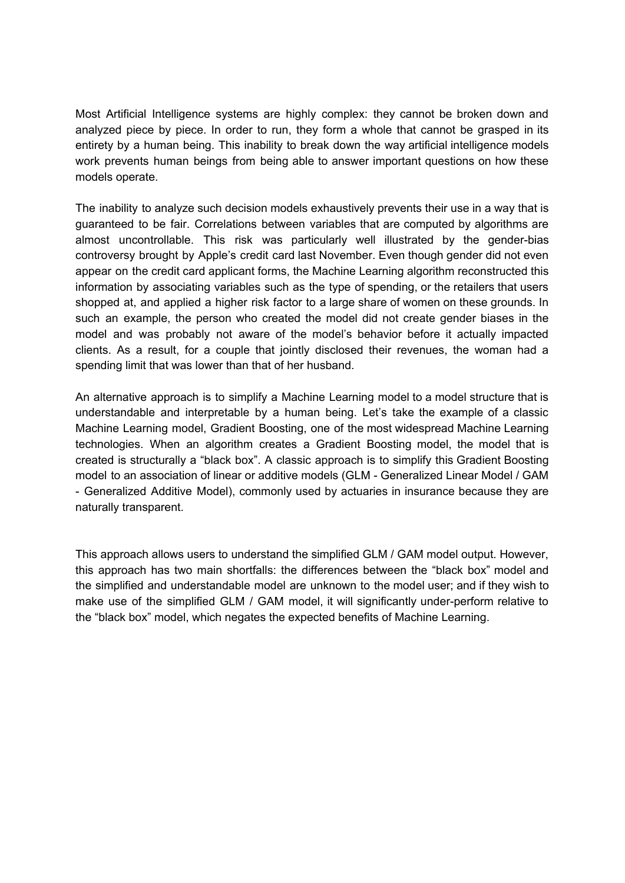Most Artificial Intelligence systems are highly complex: they cannot be broken down and analyzed piece by piece. In order to run, they form a whole that cannot be grasped in its entirety by a human being. This inability to break down the way artificial intelligence models work prevents human beings from being able to answer important questions on how these models operate.

The inability to analyze such decision models exhaustively prevents their use in a way that is guaranteed to be fair. Correlations between variables that are computed by algorithms are almost uncontrollable. This risk was particularly well illustrated by the gender-bias controversy brought by Apple's credit card last November. Even though gender did not even appear on the credit card applicant forms, the Machine Learning algorithm reconstructed this information by associating variables such as the type of spending, or the retailers that users shopped at, and applied a higher risk factor to a large share of women on these grounds. In such an example, the person who created the model did not create gender biases in the model and was probably not aware of the model's behavior before it actually impacted clients. As a result, for a couple that jointly disclosed their revenues, the woman had a spending limit that was lower than that of her husband.

An alternative approach is to simplify a Machine Learning model to a model structure that is understandable and interpretable by a human being. Let's take the example of a classic Machine Learning model, Gradient Boosting, one of the most widespread Machine Learning technologies. When an algorithm creates a Gradient Boosting model, the model that is created is structurally a "black box". A classic approach is to simplify this Gradient Boosting model to an association of linear or additive models (GLM - Generalized Linear Model / GAM - Generalized Additive Model), commonly used by actuaries in insurance because they are naturally transparent.

This approach allows users to understand the simplified GLM / GAM model output. However, this approach has two main shortfalls: the differences between the "black box" model and the simplified and understandable model are unknown to the model user; and if they wish to make use of the simplified GLM / GAM model, it will significantly under-perform relative to the "black box" model, which negates the expected benefits of Machine Learning.